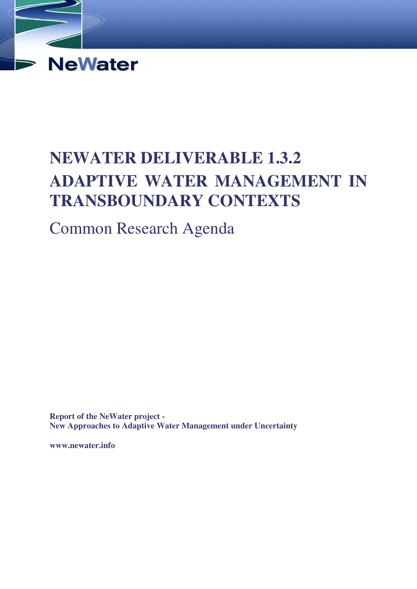

# **NEWATER DELIVERABLE 1.3.2 ADAPTIVE WATER MANAGEMENT IN TRANSBOUNDARY CONTEXTS**

# Common Research Agenda

**Report of the NeWater project - New Approaches to Adaptive Water Management under Uncertainty**

**www.newater.info**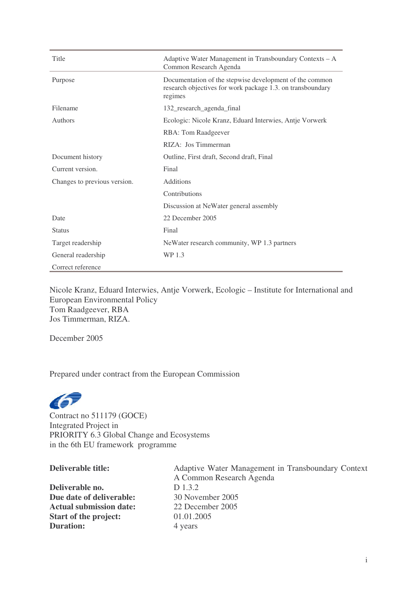| Title                        | Adaptive Water Management in Transboundary Contexts $-A$<br>Common Research Agenda                                               |  |  |
|------------------------------|----------------------------------------------------------------------------------------------------------------------------------|--|--|
| Purpose                      | Documentation of the stepwise development of the common<br>research objectives for work package 1.3. on transboundary<br>regimes |  |  |
| Filename                     | 132_research_agenda_final                                                                                                        |  |  |
| <b>Authors</b>               | Ecologic: Nicole Kranz, Eduard Interwies, Antje Vorwerk                                                                          |  |  |
|                              | RBA: Tom Raadgeever                                                                                                              |  |  |
|                              | RIZA: Jos Timmerman                                                                                                              |  |  |
| Document history             | Outline, First draft, Second draft, Final                                                                                        |  |  |
| Current version.             | Final                                                                                                                            |  |  |
| Changes to previous version. | <b>Additions</b>                                                                                                                 |  |  |
|                              | Contributions                                                                                                                    |  |  |
|                              | Discussion at NeWater general assembly                                                                                           |  |  |
| Date                         | 22 December 2005                                                                                                                 |  |  |
| <b>Status</b>                | Final                                                                                                                            |  |  |
| Target readership            | NeWater research community, WP 1.3 partners                                                                                      |  |  |
| General readership           | WP 1.3                                                                                                                           |  |  |
| Correct reference            |                                                                                                                                  |  |  |

Nicole Kranz, Eduard Interwies, Antje Vorwerk, Ecologic – Institute for International and European Environmental Policy Tom Raadgeever, RBA Jos Timmerman, RIZA.

December 2005

Prepared under contract from the European Commission

Contract no 511179 (GOCE) Integrated Project in PRIORITY 6.3 Global Change and Ecosystems in the 6th EU framework programme

**Deliverable no.** D 1.3.2 **Due date of deliverable:** 30 November 2005 **Actual submission date:** 22 December 2005 **Start of the project:** 01.01.2005 **Duration:** 4 years

**Deliverable title:** Adaptive Water Management in Transboundary Context A Common Research Agenda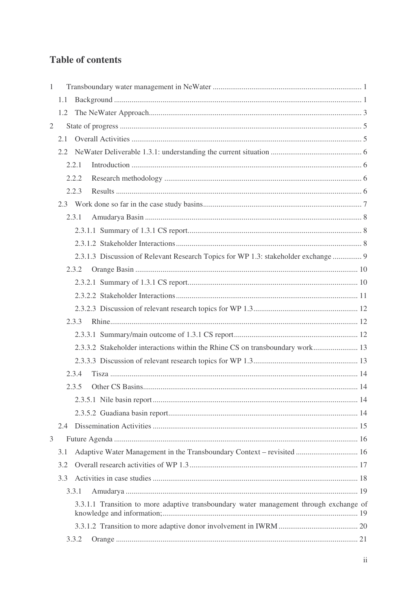# **Table of contents**

| $\mathbf{1}$   |               |                                                                                        |  |
|----------------|---------------|----------------------------------------------------------------------------------------|--|
|                | 1.1           |                                                                                        |  |
|                | 1.2           |                                                                                        |  |
| $\overline{2}$ |               |                                                                                        |  |
|                | 2.1           |                                                                                        |  |
|                | $2.2^{\circ}$ |                                                                                        |  |
|                |               | 2.2.1                                                                                  |  |
|                |               | 2.2.2                                                                                  |  |
|                |               | 2.2.3                                                                                  |  |
|                |               |                                                                                        |  |
|                |               | 2.3.1                                                                                  |  |
|                |               |                                                                                        |  |
|                |               |                                                                                        |  |
|                |               | 2.3.1.3 Discussion of Relevant Research Topics for WP 1.3: stakeholder exchange  9     |  |
|                |               | 2.3.2                                                                                  |  |
|                |               |                                                                                        |  |
|                |               |                                                                                        |  |
|                |               |                                                                                        |  |
|                |               | 2.3.3                                                                                  |  |
|                |               |                                                                                        |  |
|                |               | 2.3.3.2 Stakeholder interactions within the Rhine CS on transboundary work 13          |  |
|                |               |                                                                                        |  |
|                |               | 2.3.4                                                                                  |  |
|                |               | 2.3.5                                                                                  |  |
|                |               |                                                                                        |  |
|                |               |                                                                                        |  |
|                | 2.4           |                                                                                        |  |
| 3              |               |                                                                                        |  |
|                | 3.1           | Adaptive Water Management in the Transboundary Context - revisited  16                 |  |
|                | 3.2           |                                                                                        |  |
|                | 3.3           |                                                                                        |  |
|                |               | 3.3.1                                                                                  |  |
|                |               | 3.3.1.1 Transition to more adaptive transboundary water management through exchange of |  |
|                |               |                                                                                        |  |
|                |               | 3.3.2                                                                                  |  |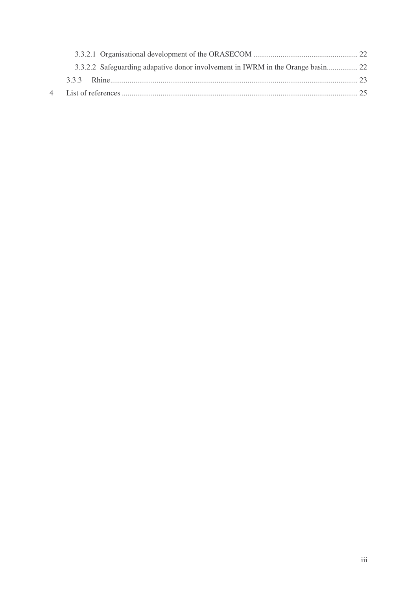| 3.3.2.2 Safeguarding adapative donor involvement in IWRM in the Orange basin 22 |  |
|---------------------------------------------------------------------------------|--|
|                                                                                 |  |
|                                                                                 |  |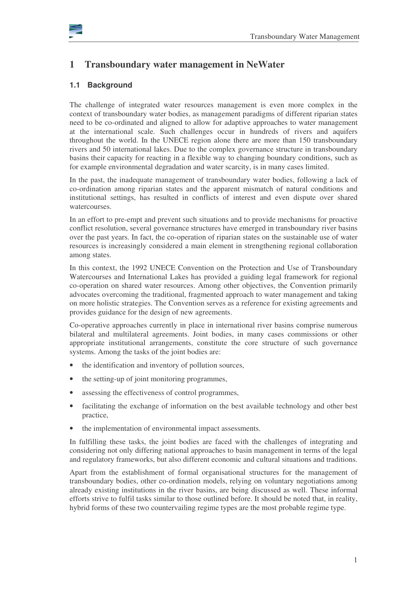



# **1 Transboundary water management in NeWater**

#### **1.1 Background**

The challenge of integrated water resources management is even more complex in the context of transboundary water bodies, as management paradigms of different riparian states need to be co-ordinated and aligned to allow for adaptive approaches to water management at the international scale. Such challenges occur in hundreds of rivers and aquifers throughout the world. In the UNECE region alone there are more than 150 transboundary rivers and 50 international lakes. Due to the complex governance structure in transboundary basins their capacity for reacting in a flexible way to changing boundary conditions, such as for example environmental degradation and water scarcity, is in many cases limited.

In the past, the inadequate management of transboundary water bodies, following a lack of co-ordination among riparian states and the apparent mismatch of natural conditions and institutional settings, has resulted in conflicts of interest and even dispute over shared watercourses.

In an effort to pre-empt and prevent such situations and to provide mechanisms for proactive conflict resolution, several governance structures have emerged in transboundary river basins over the past years. In fact, the co-operation of riparian states on the sustainable use of water resources is increasingly considered a main element in strengthening regional collaboration among states.

In this context, the 1992 UNECE Convention on the Protection and Use of Transboundary Watercourses and International Lakes has provided a guiding legal framework for regional co-operation on shared water resources. Among other objectives, the Convention primarily advocates overcoming the traditional, fragmented approach to water management and taking on more holistic strategies. The Convention serves as a reference for existing agreements and provides guidance for the design of new agreements.

Co-operative approaches currently in place in international river basins comprise numerous bilateral and multilateral agreements. Joint bodies, in many cases commissions or other appropriate institutional arrangements, constitute the core structure of such governance systems. Among the tasks of the joint bodies are:

- the identification and inventory of pollution sources,
- the setting-up of joint monitoring programmes,
- assessing the effectiveness of control programmes,
- facilitating the exchange of information on the best available technology and other best practice,
- the implementation of environmental impact assessments.

In fulfilling these tasks, the joint bodies are faced with the challenges of integrating and considering not only differing national approaches to basin management in terms of the legal and regulatory frameworks, but also different economic and cultural situations and traditions.

Apart from the establishment of formal organisational structures for the management of transboundary bodies, other co-ordination models, relying on voluntary negotiations among already existing institutions in the river basins, are being discussed as well. These informal efforts strive to fulfil tasks similar to those outlined before. It should be noted that, in reality, hybrid forms of these two countervailing regime types are the most probable regime type.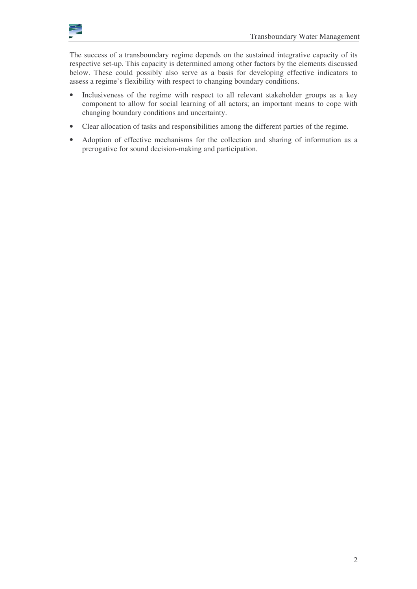

The success of a transboundary regime depends on the sustained integrative capacity of its respective set-up. This capacity is determined among other factors by the elements discussed below. These could possibly also serve as a basis for developing effective indicators to assess a regime's flexibility with respect to changing boundary conditions.

- Inclusiveness of the regime with respect to all relevant stakeholder groups as a key component to allow for social learning of all actors; an important means to cope with changing boundary conditions and uncertainty.
- Clear allocation of tasks and responsibilities among the different parties of the regime.
- Adoption of effective mechanisms for the collection and sharing of information as a prerogative for sound decision-making and participation.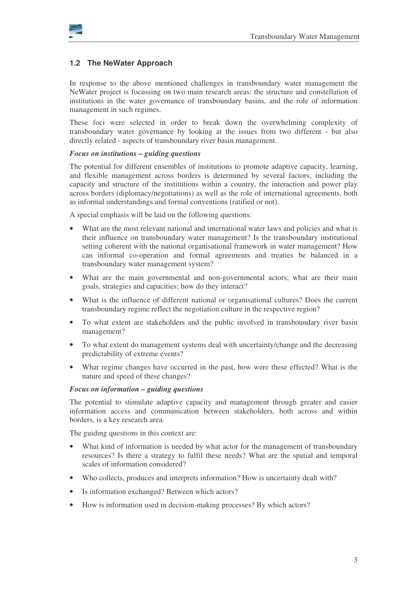

#### **1.2 The NeWater Approach**

In response to the above mentioned challenges in transboundary water management the NeWater project is focussing on two main research areas: the structure and constellation of institutions in the water governance of transboundary basins, and the role of information management in such regimes.

These foci were selected in order to break down the overwhelming complexity of transboundary water governance by looking at the issues from two different - but also directly related - aspects of transboundary river basin management.

#### *Focus on institutions – guiding questions*

The potential for different ensembles of institutions to promote adaptive capacity, learning, and flexible management across borders is determined by several factors, including the capacity and structure of the institutions within a country, the interaction and power play across borders (diplomacy/negotiations) as well as the role of international agreements, both as informal understandings and formal conventions (ratified or not).

A special emphasis will be laid on the following questions:

- What are the most relevant national and international water laws and policies and what is their influence on transboundary water management? Is the transboundary institutional setting coherent with the national organisational framework in water management? How can informal co-operation and formal agreements and treaties be balanced in a transboundary water management system?
- What are the main governmental and non-governmental actors; what are their main goals, strategies and capacities; how do they interact?
- What is the influence of different national or organisational cultures? Does the current transboundary regime reflect the negotiation culture in the respective region?
- To what extent are stakeholders and the public involved in transboundary river basin management?
- To what extent do management systems deal with uncertainty/change and the decreasing predictability of extreme events?
- What regime changes have occurred in the past, how were these effected? What is the nature and speed of these changes?

#### *Focus on information – guiding questions*

The potential to stimulate adaptive capacity and management through greater and easier information access and communication between stakeholders, both across and within borders, is a key research area.

The guiding questions in this context are:

- What kind of information is needed by what actor for the management of transboundary resources? Is there a strategy to fulfil these needs? What are the spatial and temporal scales of information considered?
- Who collects, produces and interprets information? How is uncertainty dealt with?
- Is information exchanged? Between which actors?
- How is information used in decision-making processes? By which actors?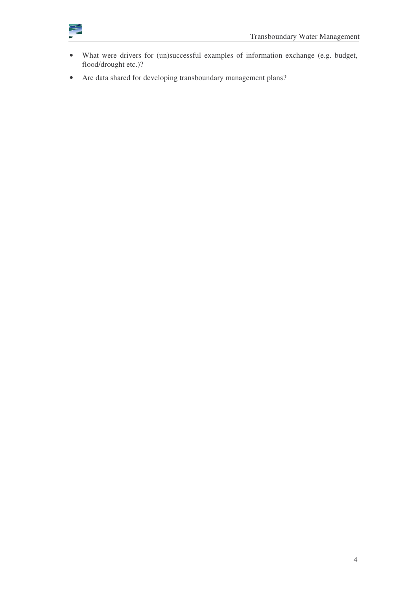

- What were drivers for (un)successful examples of information exchange (e.g. budget, flood/drought etc.)?
- Are data shared for developing transboundary management plans?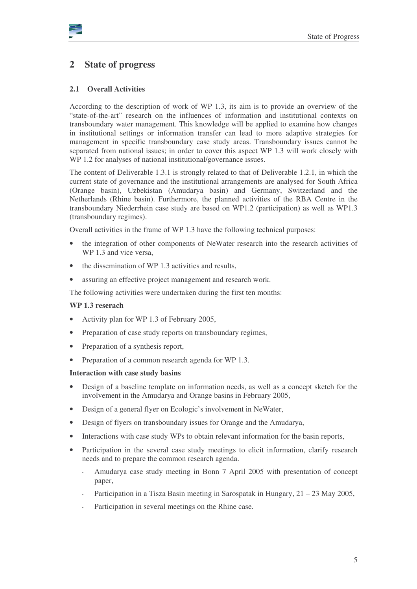



# **2 State of progress**

### **2.1 Overall Activities**

According to the description of work of WP 1.3, its aim is to provide an overview of the "state-of-the-art" research on the influences of information and institutional contexts on transboundary water management. This knowledge will be applied to examine how changes in institutional settings or information transfer can lead to more adaptive strategies for management in specific transboundary case study areas. Transboundary issues cannot be separated from national issues; in order to cover this aspect WP 1.3 will work closely with WP 1.2 for analyses of national institutional/governance issues.

The content of Deliverable 1.3.1 is strongly related to that of Deliverable 1.2.1, in which the current state of governance and the institutional arrangements are analysed for South Africa (Orange basin), Uzbekistan (Amudarya basin) and Germany, Switzerland and the Netherlands (Rhine basin). Furthermore, the planned activities of the RBA Centre in the transboundary Niederrhein case study are based on WP1.2 (participation) as well as WP1.3 (transboundary regimes).

Overall activities in the frame of WP 1.3 have the following technical purposes:

- the integration of other components of NeWater research into the research activities of WP 1.3 and vice versa,
- the dissemination of WP 1.3 activities and results,
- assuring an effective project management and research work.

The following activities were undertaken during the first ten months:

#### **WP 1.3 reserach**

- Activity plan for WP 1.3 of February 2005,
- Preparation of case study reports on transboundary regimes,
- Preparation of a synthesis report,
- Preparation of a common research agenda for WP 1.3.

#### **Interaction with case study basins**

- Design of a baseline template on information needs, as well as a concept sketch for the involvement in the Amudarya and Orange basins in February 2005,
- Design of a general flyer on Ecologic's involvement in NeWater,
- Design of flyers on transboundary issues for Orange and the Amudarya,
- Interactions with case study WPs to obtain relevant information for the basin reports,
- Participation in the several case study meetings to elicit information, clarify research needs and to prepare the common research agenda.
	- Amudarya case study meeting in Bonn 7 April 2005 with presentation of concept paper,
	- Participation in a Tisza Basin meeting in Sarospatak in Hungary,  $21 23$  May 2005,
	- Participation in several meetings on the Rhine case.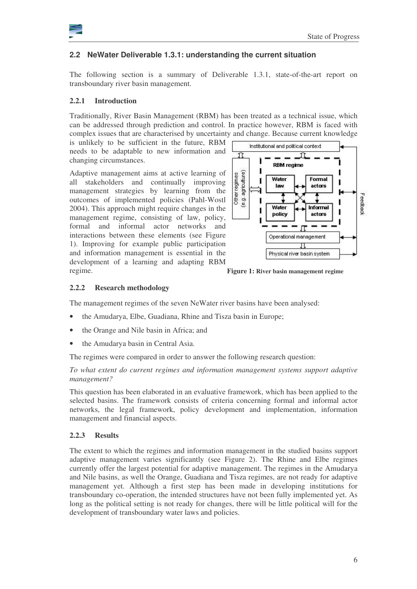

#### **2.2 NeWater Deliverable 1.3.1: understanding the current situation**

The following section is a summary of Deliverable 1.3.1, state-of-the-art report on transboundary river basin management.

#### **2.2.1 Introduction**

Traditionally, River Basin Management (RBM) has been treated as a technical issue, which can be addressed through prediction and control. In practice however, RBM is faced with complex issues that are characterised by uncertainty and change. Because current knowledge

is unlikely to be sufficient in the future, RBM needs to be adaptable to new information and changing circumstances.

Adaptive management aims at active learning of all stakeholders and continually improving management strategies by learning from the outcomes of implemented policies (Pahl-Wostl 2004). This approach might require changes in the management regime, consisting of law, policy, formal and informal actor networks and interactions between these elements (see Figure 1). Improving for example public participation and information management is essential in the development of a learning and adapting RBM regime.



**Figure 1: River basin management regime**

#### **2.2.2 Research methodology**

The management regimes of the seven NeWater river basins have been analysed:

- the Amudarya, Elbe, Guadiana, Rhine and Tisza basin in Europe;
- the Orange and Nile basin in Africa; and
- the Amudarya basin in Central Asia.

The regimes were compared in order to answer the following research question:

*To what extent do current regimes and information management systems support adaptive management?*

This question has been elaborated in an evaluative framework, which has been applied to the selected basins. The framework consists of criteria concerning formal and informal actor networks, the legal framework, policy development and implementation, information management and financial aspects.

#### **2.2.3 Results**

The extent to which the regimes and information management in the studied basins support adaptive management varies significantly (see Figure 2). The Rhine and Elbe regimes currently offer the largest potential for adaptive management. The regimes in the Amudarya and Nile basins, as well the Orange, Guadiana and Tisza regimes, are not ready for adaptive management yet. Although a first step has been made in developing institutions for transboundary co-operation, the intended structures have not been fully implemented yet. As long as the political setting is not ready for changes, there will be little political will for the development of transboundary water laws and policies.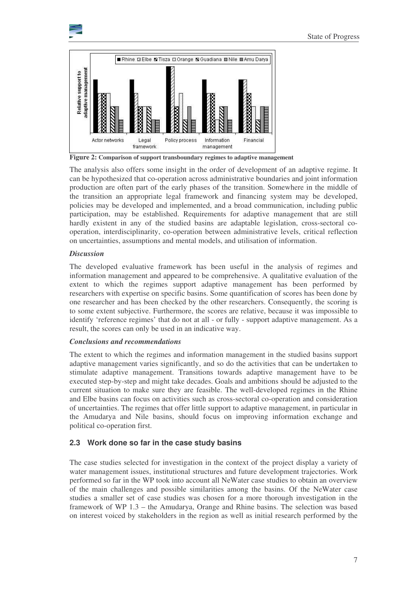



**Figure 2: Comparison of support transboundary regimes to adaptive management**

The analysis also offers some insight in the order of development of an adaptive regime. It can be hypothesized that co-operation across administrative boundaries and joint information production are often part of the early phases of the transition. Somewhere in the middle of the transition an appropriate legal framework and financing system may be developed, policies may be developed and implemented, and a broad communication, including public participation, may be established. Requirements for adaptive management that are still hardly existent in any of the studied basins are adaptable legislation, cross-sectoral cooperation, interdisciplinarity, co-operation between administrative levels, critical reflection on uncertainties, assumptions and mental models, and utilisation of information.

#### *Discussion*

The developed evaluative framework has been useful in the analysis of regimes and information management and appeared to be comprehensive. A qualitative evaluation of the extent to which the regimes support adaptive management has been performed by researchers with expertise on specific basins. Some quantification of scores has been done by one researcher and has been checked by the other researchers. Consequently, the scoring is to some extent subjective. Furthermore, the scores are relative, because it was impossible to identify 'reference regimes' that do not at all - or fully - support adaptive management. As a result, the scores can only be used in an indicative way.

#### *Conclusions and recommendations*

The extent to which the regimes and information management in the studied basins support adaptive management varies significantly, and so do the activities that can be undertaken to stimulate adaptive management. Transitions towards adaptive management have to be executed step-by-step and might take decades. Goals and ambitions should be adjusted to the current situation to make sure they are feasible. The well-developed regimes in the Rhine and Elbe basins can focus on activities such as cross-sectoral co-operation and consideration of uncertainties. The regimes that offer little support to adaptive management, in particular in the Amudarya and Nile basins, should focus on improving information exchange and political co-operation first.

#### **2.3 Work done so far in the case study basins**

The case studies selected for investigation in the context of the project display a variety of water management issues, institutional structures and future development trajectories. Work performed so far in the WP took into account all NeWater case studies to obtain an overview of the main challenges and possible similarities among the basins. Of the NeWater case studies a smaller set of case studies was chosen for a more thorough investigation in the framework of WP 1.3 – the Amudarya, Orange and Rhine basins. The selection was based on interest voiced by stakeholders in the region as well as initial research performed by the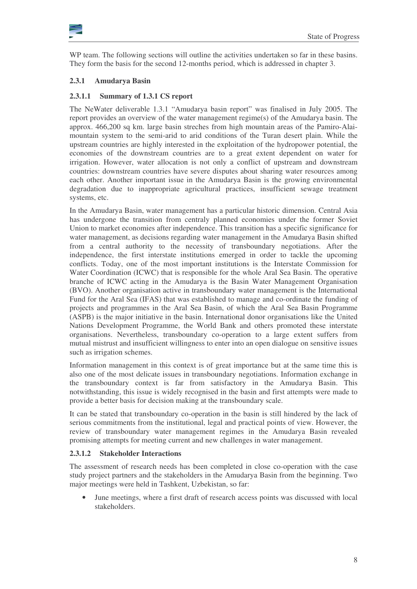

WP team. The following sections will outline the activities undertaken so far in these basins. They form the basis for the second 12-months period, which is addressed in chapter 3.

#### **2.3.1 Amudarya Basin**

#### **2.3.1.1 Summary of 1.3.1 CS report**

The NeWater deliverable 1.3.1 "Amudarya basin report" was finalised in July 2005. The report provides an overview of the water management regime(s) of the Amudarya basin. The approx. 466,200 sq km. large basin streches from high mountain areas of the Pamiro-Alaimountain system to the semi-arid to arid conditions of the Turan desert plain. While the upstream countries are highly interested in the exploitation of the hydropower potential, the economies of the downstream countries are to a great extent dependent on water for irrigation. However, water allocation is not only a conflict of upstream and downstream countries: downstream countries have severe disputes about sharing water resources among each other. Another important issue in the Amudarya Basin is the growing environmental degradation due to inappropriate agricultural practices, insufficient sewage treatment systems, etc.

In the Amudarya Basin, water management has a particular historic dimension. Central Asia has undergone the transition from centraly planned economies under the former Soviet Union to market economies after independence. This transition has a specific significance for water management, as decisions regarding water management in the Amudarya Basin shifted from a central authority to the necessity of transboundary negotiations. After the independence, the first interstate institutions emerged in order to tackle the upcoming conflicts. Today, one of the most important institutions is the Interstate Commission for Water Coordination (ICWC) that is responsible for the whole Aral Sea Basin. The operative branche of ICWC acting in the Amudarya is the Basin Water Management Organisation (BVO). Another organisation active in transboundary water management is the International Fund for the Aral Sea (IFAS) that was established to manage and co-ordinate the funding of projects and programmes in the Aral Sea Basin, of which the Aral Sea Basin Programme (ASPB) is the major initiative in the basin. International donor organisations like the United Nations Development Programme, the World Bank and others promoted these interstate organisations. Nevertheless, transboundary co-operation to a large extent suffers from mutual mistrust and insufficient willingness to enter into an open dialogue on sensitive issues such as irrigation schemes.

Information management in this context is of great importance but at the same time this is also one of the most delicate issues in transboundary negotiations. Information exchange in the transboundary context is far from satisfactory in the Amudarya Basin. This notwithstanding, this issue is widely recognised in the basin and first attempts were made to provide a better basis for decision making at the transboundary scale.

It can be stated that transboundary co-operation in the basin is still hindered by the lack of serious commitments from the institutional, legal and practical points of view. However, the review of transboundary water management regimes in the Amudarya Basin revealed promising attempts for meeting current and new challenges in water management.

#### **2.3.1.2 Stakeholder Interactions**

The assessment of research needs has been completed in close co-operation with the case study project partners and the stakeholders in the Amudarya Basin from the beginning. Two major meetings were held in Tashkent, Uzbekistan, so far:

• June meetings, where a first draft of research access points was discussed with local stakeholders.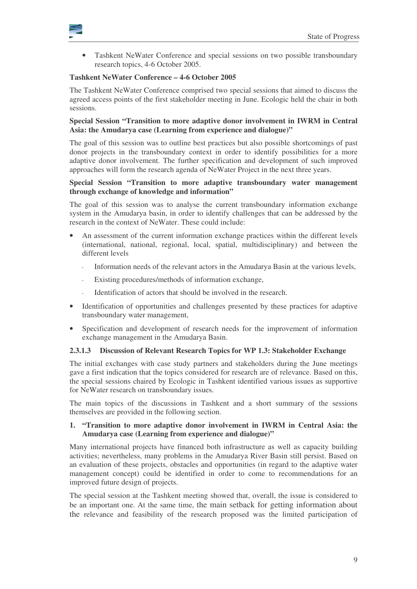

• Tashkent NeWater Conference and special sessions on two possible transboundary research topics, 4-6 October 2005.

#### **Tashkent NeWater Conference – 4-6 October 2005**

The Tashkent NeWater Conference comprised two special sessions that aimed to discuss the agreed access points of the first stakeholder meeting in June. Ecologic held the chair in both sessions.

#### **Special Session "Transition to more adaptive donor involvement in IWRM in Central Asia: the Amudarya case (Learning from experience and dialogue)"**

The goal of this session was to outline best practices but also possible shortcomings of past donor projects in the transboundary context in order to identify possibilities for a more adaptive donor involvement. The further specification and development of such improved approaches will form the research agenda of NeWater Project in the next three years.

#### **Special Session "Transition to more adaptive transboundary water management through exchange of knowledge and information"**

The goal of this session was to analyse the current transboundary information exchange system in the Amudarya basin, in order to identify challenges that can be addressed by the research in the context of NeWater. These could include:

- An assessment of the current information exchange practices within the different levels (international, national, regional, local, spatial, multidisciplinary) and between the different levels
	- Information needs of the relevant actors in the Amudarya Basin at the various levels,
	- Existing procedures/methods of information exchange,
	- Identification of actors that should be involved in the research.
- Identification of opportunities and challenges presented by these practices for adaptive transboundary water management,
- Specification and development of research needs for the improvement of information exchange management in the Amudarya Basin.

#### **2.3.1.3 Discussion of Relevant Research Topics for WP 1.3: Stakeholder Exchange**

The initial exchanges with case study partners and stakeholders during the June meetings gave a first indication that the topics considered for research are of relevance. Based on this, the special sessions chaired by Ecologic in Tashkent identified various issues as supportive for NeWater research on transboundary issues.

The main topics of the discussions in Tashkent and a short summary of the sessions themselves are provided in the following section.

#### **1. "Transition to more adaptive donor involvement in IWRM in Central Asia: the Amudarya case (Learning from experience and dialogue)"**

Many international projects have financed both infrastructure as well as capacity building activities; nevertheless, many problems in the Amudarya River Basin still persist. Based on an evaluation of these projects, obstacles and opportunities (in regard to the adaptive water management concept) could be identified in order to come to recommendations for an improved future design of projects.

The special session at the Tashkent meeting showed that, overall, the issue is considered to be an important one. At the same time, the main setback for getting information about the relevance and feasibility of the research proposed was the limited participation of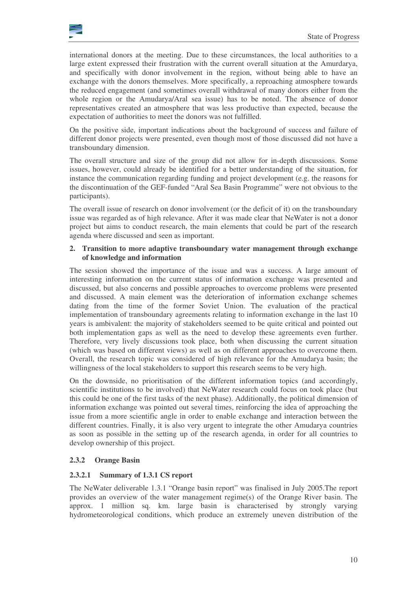

international donors at the meeting. Due to these circumstances, the local authorities to a large extent expressed their frustration with the current overall situation at the Amurdarya, and specifically with donor involvement in the region, without being able to have an exchange with the donors themselves. More specifically, a reproaching atmosphere towards the reduced engagement (and sometimes overall withdrawal of many donors either from the whole region or the Amudarya/Aral sea issue) has to be noted. The absence of donor representatives created an atmosphere that was less productive than expected, because the expectation of authorities to meet the donors was not fulfilled.

On the positive side, important indications about the background of success and failure of different donor projects were presented, even though most of those discussed did not have a transboundary dimension.

The overall structure and size of the group did not allow for in-depth discussions. Some issues, however, could already be identified for a better understanding of the situation, for instance the communication regarding funding and project development (e.g. the reasons for the discontinuation of the GEF-funded "Aral Sea Basin Programme" were not obvious to the participants).

The overall issue of research on donor involvement (or the deficit of it) on the transboundary issue was regarded as of high relevance. After it was made clear that NeWater is not a donor project but aims to conduct research, the main elements that could be part of the research agenda where discussed and seen as important.

#### **2. Transition to more adaptive transboundary water management through exchange of knowledge and information**

The session showed the importance of the issue and was a success. A large amount of interesting information on the current status of information exchange was presented and discussed, but also concerns and possible approaches to overcome problems were presented and discussed. A main element was the deterioration of information exchange schemes dating from the time of the former Soviet Union. The evaluation of the practical implementation of transboundary agreements relating to information exchange in the last 10 years is ambivalent: the majority of stakeholders seemed to be quite critical and pointed out both implementation gaps as well as the need to develop these agreements even further. Therefore, very lively discussions took place, both when discussing the current situation (which was based on different views) as well as on different approaches to overcome them. Overall, the research topic was considered of high relevance for the Amudarya basin; the willingness of the local stakeholders to support this research seems to be very high.

On the downside, no prioritisation of the different information topics (and accordingly, scientific institutions to be involved) that NeWater research could focus on took place (but this could be one of the first tasks of the next phase). Additionally, the political dimension of information exchange was pointed out several times, reinforcing the idea of approaching the issue from a more scientific angle in order to enable exchange and interaction between the different countries. Finally, it is also very urgent to integrate the other Amudarya countries as soon as possible in the setting up of the research agenda, in order for all countries to develop ownership of this project.

#### **2.3.2 Orange Basin**

#### **2.3.2.1 Summary of 1.3.1 CS report**

The NeWater deliverable 1.3.1 "Orange basin report" was finalised in July 2005.The report provides an overview of the water management regime(s) of the Orange River basin. The approx. 1 million sq. km. large basin is characterised by strongly varying hydrometeorological conditions, which produce an extremely uneven distribution of the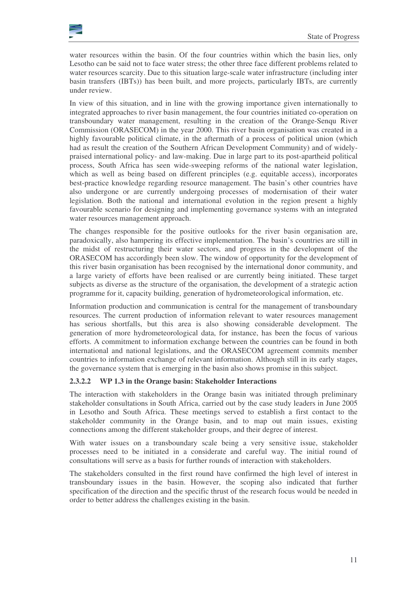

water resources within the basin. Of the four countries within which the basin lies, only Lesotho can be said not to face water stress; the other three face different problems related to water resources scarcity. Due to this situation large-scale water infrastructure (including inter basin transfers (IBTs)) has been built, and more projects, particularly IBTs, are currently under review.

In view of this situation, and in line with the growing importance given internationally to integrated approaches to river basin management, the four countries initiated co-operation on transboundary water management, resulting in the creation of the Orange-Senqu River Commission (ORASECOM) in the year 2000. This river basin organisation was created in a highly favourable political climate, in the aftermath of a process of political union (which had as result the creation of the Southern African Development Community) and of widelypraised international policy- and law-making. Due in large part to its post-apartheid political process, South Africa has seen wide-sweeping reforms of the national water legislation, which as well as being based on different principles (e.g. equitable access), incorporates best-practice knowledge regarding resource management. The basin's other countries have also undergone or are currently undergoing processes of modernisation of their water legislation. Both the national and international evolution in the region present a highly favourable scenario for designing and implementing governance systems with an integrated water resources management approach.

The changes responsible for the positive outlooks for the river basin organisation are, paradoxically, also hampering its effective implementation. The basin's countries are still in the midst of restructuring their water sectors, and progress in the development of the ORASECOM has accordingly been slow. The window of opportunity for the development of this river basin organisation has been recognised by the international donor community, and a large variety of efforts have been realised or are currently being initiated. These target subjects as diverse as the structure of the organisation, the development of a strategic action programme for it, capacity building, generation of hydrometeorological information, etc.

Information production and communication is central for the management of transboundary resources. The current production of information relevant to water resources management has serious shortfalls, but this area is also showing considerable development. The generation of more hydrometeorological data, for instance, has been the focus of various efforts. A commitment to information exchange between the countries can be found in both international and national legislations, and the ORASECOM agreement commits member countries to information exchange of relevant information. Although still in its early stages, the governance system that is emerging in the basin also shows promise in this subject.

#### **2.3.2.2 WP 1.3 in the Orange basin: Stakeholder Interactions**

The interaction with stakeholders in the Orange basin was initiated through preliminary stakeholder consultations in South Africa, carried out by the case study leaders in June 2005 in Lesotho and South Africa. These meetings served to establish a first contact to the stakeholder community in the Orange basin, and to map out main issues, existing connections among the different stakeholder groups, and their degree of interest.

With water issues on a transboundary scale being a very sensitive issue, stakeholder processes need to be initiated in a considerate and careful way. The initial round of consultations will serve as a basis for further rounds of interaction with stakeholders.

The stakeholders consulted in the first round have confirmed the high level of interest in transboundary issues in the basin. However, the scoping also indicated that further specification of the direction and the specific thrust of the research focus would be needed in order to better address the challenges existing in the basin.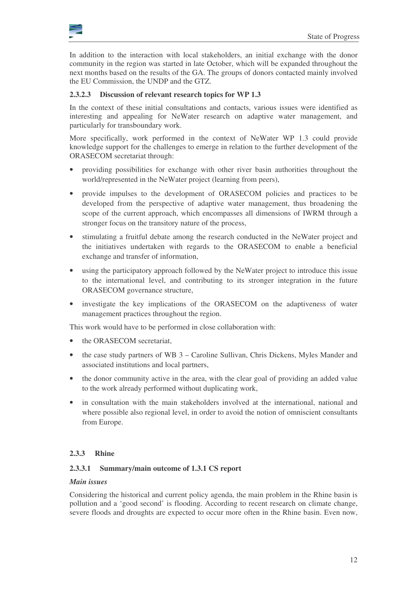

In addition to the interaction with local stakeholders, an initial exchange with the donor community in the region was started in late October, which will be expanded throughout the next months based on the results of the GA. The groups of donors contacted mainly involved the EU Commission, the UNDP and the GTZ.

#### **2.3.2.3 Discussion of relevant research topics for WP 1.3**

In the context of these initial consultations and contacts, various issues were identified as interesting and appealing for NeWater research on adaptive water management, and particularly for transboundary work.

More specifically, work performed in the context of NeWater WP 1.3 could provide knowledge support for the challenges to emerge in relation to the further development of the ORASECOM secretariat through:

- providing possibilities for exchange with other river basin authorities throughout the world/represented in the NeWater project (learning from peers),
- provide impulses to the development of ORASECOM policies and practices to be developed from the perspective of adaptive water management, thus broadening the scope of the current approach, which encompasses all dimensions of IWRM through a stronger focus on the transitory nature of the process,
- stimulating a fruitful debate among the research conducted in the NeWater project and the initiatives undertaken with regards to the ORASECOM to enable a beneficial exchange and transfer of information,
- using the participatory approach followed by the NeWater project to introduce this issue to the international level, and contributing to its stronger integration in the future ORASECOM governance structure,
- investigate the key implications of the ORASECOM on the adaptiveness of water management practices throughout the region.

This work would have to be performed in close collaboration with:

- the ORASECOM secretariat,
- the case study partners of WB 3 Caroline Sullivan, Chris Dickens, Myles Mander and associated institutions and local partners,
- the donor community active in the area, with the clear goal of providing an added value to the work already performed without duplicating work,
- in consultation with the main stakeholders involved at the international, national and where possible also regional level, in order to avoid the notion of omniscient consultants from Europe.

#### **2.3.3 Rhine**

#### **2.3.3.1 Summary/main outcome of 1.3.1 CS report**

#### *Main issues*

Considering the historical and current policy agenda, the main problem in the Rhine basin is pollution and a 'good second' is flooding. According to recent research on climate change, severe floods and droughts are expected to occur more often in the Rhine basin. Even now,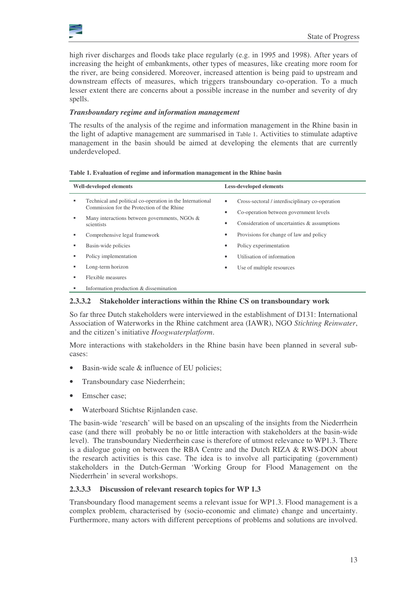

high river discharges and floods take place regularly (e.g. in 1995 and 1998). After years of increasing the height of embankments, other types of measures, like creating more room for the river, are being considered. Moreover, increased attention is being paid to upstream and downstream effects of measures, which triggers transboundary co-operation. To a much lesser extent there are concerns about a possible increase in the number and severity of dry spells.

#### *Transboundary regime and information management*

The results of the analysis of the regime and information management in the Rhine basin in the light of adaptive management are summarised in Table 1. Activities to stimulate adaptive management in the basin should be aimed at developing the elements that are currently underdeveloped.

**Table 1. Evaluation of regime and information management in the Rhine basin**

| <b>Well-developed elements</b> |                                                                                                                                                                        |             | <b>Less-developed elements</b>                                                                                                            |  |
|--------------------------------|------------------------------------------------------------------------------------------------------------------------------------------------------------------------|-------------|-------------------------------------------------------------------------------------------------------------------------------------------|--|
|                                | Technical and political co-operation in the International<br>Commission for the Protection of the Rhine<br>Many interactions between governments, NGOs &<br>scientists | ٠<br>٠<br>٠ | Cross-sectoral / interdisciplinary co-operation<br>Co-operation between government levels<br>Consideration of uncertainties & assumptions |  |
|                                | Comprehensive legal framework                                                                                                                                          | ٠           | Provisions for change of law and policy                                                                                                   |  |
|                                | Basin-wide policies                                                                                                                                                    | ٠           | Policy experimentation                                                                                                                    |  |
|                                | Policy implementation                                                                                                                                                  |             | Utilisation of information                                                                                                                |  |
|                                | Long-term horizon                                                                                                                                                      | ٠           | Use of multiple resources                                                                                                                 |  |
|                                | Flexible measures                                                                                                                                                      |             |                                                                                                                                           |  |
|                                | Information production & dissemination                                                                                                                                 |             |                                                                                                                                           |  |

#### **2.3.3.2 Stakeholder interactions within the Rhine CS on transboundary work**

So far three Dutch stakeholders were interviewed in the establishment of D131: International Association of Waterworks in the Rhine catchment area (IAWR), NGO *Stichting Reinwater*, and the citizen's initiative *Hoogwaterplatform*.

More interactions with stakeholders in the Rhine basin have been planned in several subcases:

- Basin-wide scale  $&$  influence of EU policies;
- Transboundary case Niederrhein;
- Emscher case:
- Waterboard Stichtse Rijnlanden case.

The basin-wide 'research' will be based on an upscaling of the insights from the Niederrhein case (and there will probably be no or little interaction with stakeholders at the basin-wide level). The transboundary Niederrhein case is therefore of utmost relevance to WP1.3. There is a dialogue going on between the RBA Centre and the Dutch RIZA & RWS-DON about the research activities is this case. The idea is to involve all participating (government) stakeholders in the Dutch-German 'Working Group for Flood Management on the Niederrhein' in several workshops.

#### **2.3.3.3 Discussion of relevant research topics for WP 1.3**

Transboundary flood management seems a relevant issue for WP1.3. Flood management is a complex problem, characterised by (socio-economic and climate) change and uncertainty. Furthermore, many actors with different perceptions of problems and solutions are involved.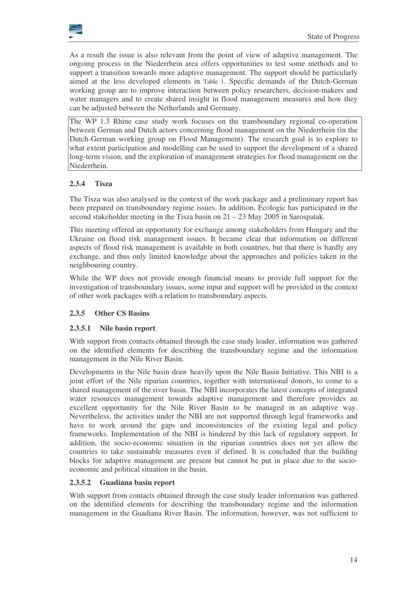

As a result the issue is also relevant from the point of view of adaptive management. The ongoing process in the Niederrhein area offers opportunities to test some methods and to support a transition towards more adaptive management. The support should be particularly aimed at the less developed elements in Table 1. Specific demands of the Dutch-German working group are to improve interaction between policy researchers, decision-makers and water managers and to create shared insight in flood management measures and how they can be adjusted between the Netherlands and Germany.

The WP 1.3 Rhine case study work focuses on the transboundary regional co-operation between German and Dutch actors concerning flood management on the Niederrhein (in the Dutch-German working group on Flood Management). The research goal is to explore to what extent participation and modelling can be used to support the development of a shared long-term vision, and the exploration of management strategies for flood management on the Niederrhein.

#### **2.3.4 Tisza**

The Tisza was also analysed in the context of the work package and a preliminary report has been prepared on transboundary regime issues. In addition, Ecologic has participated in the second stakeholder meeting in the Tisza basin on 21 – 23 May 2005 in Sarospatak.

This meeting offered an opportunity for exchange among stakeholders from Hungary and the Ukraine on flood risk management issues. It became clear that information on different aspects of flood risk management is available in both countries, but that there is hardly any exchange, and thus only limited knowledge about the approaches and policies taken in the neighbouring country.

While the WP does not provide enough financial means to provide full support for the investigation of transboundary issues, some input and support will be provided in the context of other work packages with a relation to transboundary aspects.

#### **2.3.5 Other CS Basins**

#### **2.3.5.1 Nile basin report**

With support from contacts obtained through the case study leader, information was gathered on the identified elements for describing the transboundary regime and the information management in the Nile River Basin.

Developments in the Nile basin draw heavily upon the Nile Basin Initiative. This NBI is a joint effort of the Nile riparian countries, together with international donors, to come to a shared management of the river basin. The NBI incorporates the latest concepts of integrated water resources management towards adaptive management and therefore provides an excellent opportunity for the Nile River Basin to be managed in an adaptive way. Nevertheless, the activities under the NBI are not supported through legal frameworks and have to work around the gaps and inconsistencies of the existing legal and policy frameworks. Implementation of the NBI is hindered by this lack of regulatory support. In addition, the socio-economic situation in the riparian countries does not yet allow the countries to take sustainable measures even if defined. It is concluded that the building blocks for adaptive management are present but cannot be put in place due to the socioeconomic and political situation in the basin.

#### **2.3.5.2 Guadiana basin report**

With support from contacts obtained through the case study leader information was gathered on the identified elements for describing the transboundary regime and the information management in the Guadiana River Basin. The information, however, was not sufficient to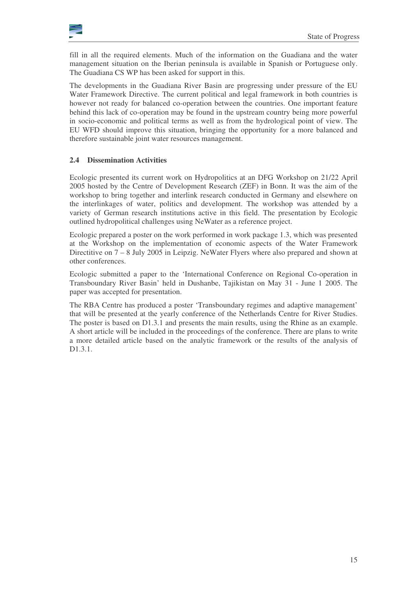

fill in all the required elements. Much of the information on the Guadiana and the water management situation on the Iberian peninsula is available in Spanish or Portuguese only. The Guadiana CS WP has been asked for support in this.

The developments in the Guadiana River Basin are progressing under pressure of the EU Water Framework Directive. The current political and legal framework in both countries is however not ready for balanced co-operation between the countries. One important feature behind this lack of co-operation may be found in the upstream country being more powerful in socio-economic and political terms as well as from the hydrological point of view. The EU WFD should improve this situation, bringing the opportunity for a more balanced and therefore sustainable joint water resources management.

#### **2.4 Dissemination Activities**

Ecologic presented its current work on Hydropolitics at an DFG Workshop on 21/22 April 2005 hosted by the Centre of Development Research (ZEF) in Bonn. It was the aim of the workshop to bring together and interlink research conducted in Germany and elsewhere on the interlinkages of water, politics and development. The workshop was attended by a variety of German research institutions active in this field. The presentation by Ecologic outlined hydropolitical challenges using NeWater as a reference project.

Ecologic prepared a poster on the work performed in work package 1.3, which was presented at the Workshop on the implementation of economic aspects of the Water Framework Directitive on 7 – 8 July 2005 in Leipzig. NeWater Flyers where also prepared and shown at other conferences.

Ecologic submitted a paper to the 'International Conference on Regional Co-operation in Transboundary River Basin' held in Dushanbe, Tajikistan on May 31 - June 1 2005. The paper was accepted for presentation.

The RBA Centre has produced a poster 'Transboundary regimes and adaptive management' that will be presented at the yearly conference of the Netherlands Centre for River Studies. The poster is based on D1.3.1 and presents the main results, using the Rhine as an example. A short article will be included in the proceedings of the conference. There are plans to write a more detailed article based on the analytic framework or the results of the analysis of D1.3.1.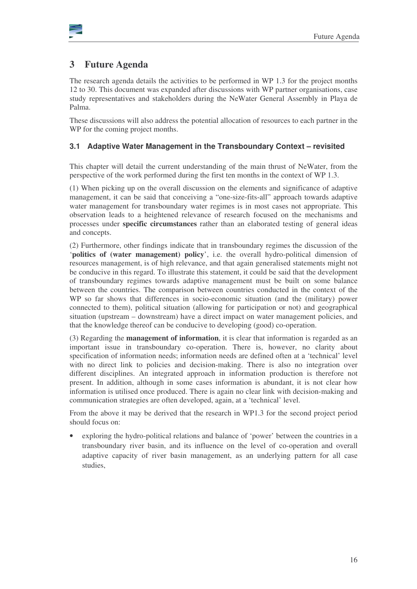

# **3 Future Agenda**

The research agenda details the activities to be performed in WP 1.3 for the project months 12 to 30. This document was expanded after discussions with WP partner organisations, case study representatives and stakeholders during the NeWater General Assembly in Playa de Palma.

These discussions will also address the potential allocation of resources to each partner in the WP for the coming project months.

#### **3.1 Adaptive Water Management in the Transboundary Context – revisited**

This chapter will detail the current understanding of the main thrust of NeWater, from the perspective of the work performed during the first ten months in the context of WP 1.3.

(1) When picking up on the overall discussion on the elements and significance of adaptive management, it can be said that conceiving a "one-size-fits-all" approach towards adaptive water management for transboundary water regimes is in most cases not appropriate. This observation leads to a heightened relevance of research focused on the mechanisms and processes under **specific circumstances** rather than an elaborated testing of general ideas and concepts.

(2) Furthermore, other findings indicate that in transboundary regimes the discussion of the '**politics of (water management) policy**', i.e. the overall hydro-political dimension of resources management, is of high relevance, and that again generalised statements might not be conducive in this regard. To illustrate this statement, it could be said that the development of transboundary regimes towards adaptive management must be built on some balance between the countries. The comparison between countries conducted in the context of the WP so far shows that differences in socio-economic situation (and the (military) power connected to them), political situation (allowing for participation or not) and geographical situation (upstream – downstream) have a direct impact on water management policies, and that the knowledge thereof can be conducive to developing (good) co-operation.

(3) Regarding the **management of information**, it is clear that information is regarded as an important issue in transboundary co-operation. There is, however, no clarity about specification of information needs; information needs are defined often at a 'technical' level with no direct link to policies and decision-making. There is also no integration over different disciplines. An integrated approach in information production is therefore not present. In addition, although in some cases information is abundant, it is not clear how information is utilised once produced. There is again no clear link with decision-making and communication strategies are often developed, again, at a 'technical' level.

From the above it may be derived that the research in WP1.3 for the second project period should focus on:

• exploring the hydro-political relations and balance of 'power' between the countries in a transboundary river basin, and its influence on the level of co-operation and overall adaptive capacity of river basin management, as an underlying pattern for all case studies,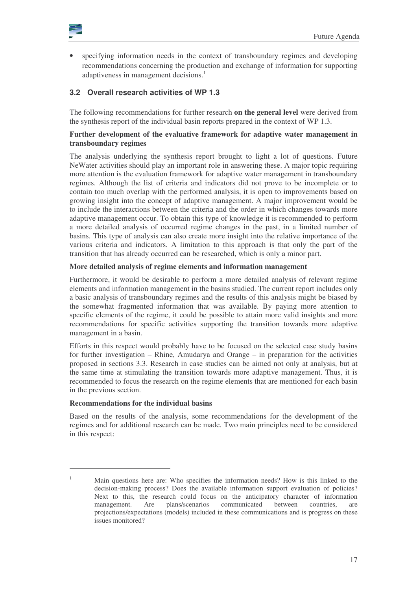

• specifying information needs in the context of transboundary regimes and developing recommendations concerning the production and exchange of information for supporting adaptiveness in management decisions.<sup>1</sup>

### **3.2 Overall research activities of WP 1.3**

The following recommendations for further research **on the general level** were derived from the synthesis report of the individual basin reports prepared in the context of WP 1.3.

#### **Further development of the evaluative framework for adaptive water management in transboundary regimes**

The analysis underlying the synthesis report brought to light a lot of questions. Future NeWater activities should play an important role in answering these. A major topic requiring more attention is the evaluation framework for adaptive water management in transboundary regimes. Although the list of criteria and indicators did not prove to be incomplete or to contain too much overlap with the performed analysis, it is open to improvements based on growing insight into the concept of adaptive management. A major improvement would be to include the interactions between the criteria and the order in which changes towards more adaptive management occur. To obtain this type of knowledge it is recommended to perform a more detailed analysis of occurred regime changes in the past, in a limited number of basins. This type of analysis can also create more insight into the relative importance of the various criteria and indicators. A limitation to this approach is that only the part of the transition that has already occurred can be researched, which is only a minor part.

#### **More detailed analysis of regime elements and information management**

Furthermore, it would be desirable to perform a more detailed analysis of relevant regime elements and information management in the basins studied. The current report includes only a basic analysis of transboundary regimes and the results of this analysis might be biased by the somewhat fragmented information that was available. By paying more attention to specific elements of the regime, it could be possible to attain more valid insights and more recommendations for specific activities supporting the transition towards more adaptive management in a basin.

Efforts in this respect would probably have to be focused on the selected case study basins for further investigation – Rhine, Amudarya and Orange – in preparation for the activities proposed in sections 3.3. Research in case studies can be aimed not only at analysis, but at the same time at stimulating the transition towards more adaptive management. Thus, it is recommended to focus the research on the regime elements that are mentioned for each basin in the previous section.

#### **Recommendations for the individual basins**

Based on the results of the analysis, some recommendations for the development of the regimes and for additional research can be made. Two main principles need to be considered in this respect:

<sup>&</sup>lt;sup>1</sup> Main questions here are: Who specifies the information needs? How is this linked to the decision-making process? Does the available information support evaluation of policies? Next to this, the research could focus on the anticipatory character of information management. Are plans/scenarios communicated between countries, are projections/expectations (models) included in these communications and is progress on these issues monitored?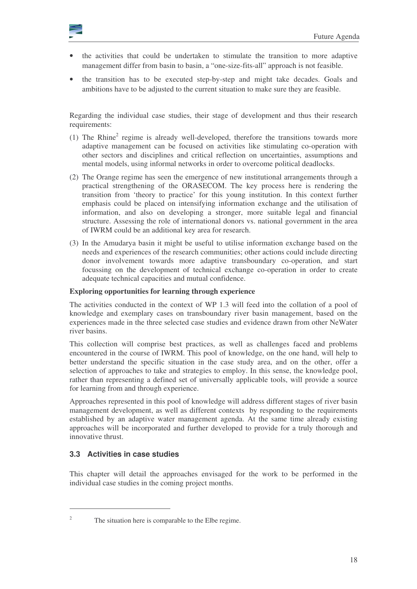

- the activities that could be undertaken to stimulate the transition to more adaptive management differ from basin to basin, a "one-size-fits-all" approach is not feasible.
- the transition has to be executed step-by-step and might take decades. Goals and ambitions have to be adjusted to the current situation to make sure they are feasible.

Regarding the individual case studies, their stage of development and thus their research requirements:

- (1) The Rhine<sup>2</sup> regime is already well-developed, therefore the transitions towards more adaptive management can be focused on activities like stimulating co-operation with other sectors and disciplines and critical reflection on uncertainties, assumptions and mental models, using informal networks in order to overcome political deadlocks.
- (2) The Orange regime has seen the emergence of new institutional arrangements through a practical strengthening of the ORASECOM. The key process here is rendering the transition from 'theory to practice' for this young institution. In this context further emphasis could be placed on intensifying information exchange and the utilisation of information, and also on developing a stronger, more suitable legal and financial structure. Assessing the role of international donors vs. national government in the area of IWRM could be an additional key area for research.
- (3) In the Amudarya basin it might be useful to utilise information exchange based on the needs and experiences of the research communities; other actions could include directing donor involvement towards more adaptive transboundary co-operation, and start focussing on the development of technical exchange co-operation in order to create adequate technical capacities and mutual confidence.

#### **Exploring opportunities for learning through experience**

The activities conducted in the context of WP 1.3 will feed into the collation of a pool of knowledge and exemplary cases on transboundary river basin management, based on the experiences made in the three selected case studies and evidence drawn from other NeWater river basins.

This collection will comprise best practices, as well as challenges faced and problems encountered in the course of IWRM. This pool of knowledge, on the one hand, will help to better understand the specific situation in the case study area, and on the other, offer a selection of approaches to take and strategies to employ. In this sense, the knowledge pool, rather than representing a defined set of universally applicable tools, will provide a source for learning from and through experience.

Approaches represented in this pool of knowledge will address different stages of river basin management development, as well as different contexts by responding to the requirements established by an adaptive water management agenda. At the same time already existing approaches will be incorporated and further developed to provide for a truly thorough and innovative thrust.

#### **3.3 Activities in case studies**

This chapter will detail the approaches envisaged for the work to be performed in the individual case studies in the coming project months.

<sup>&</sup>lt;sup>2</sup> The situation here is comparable to the Elbe regime.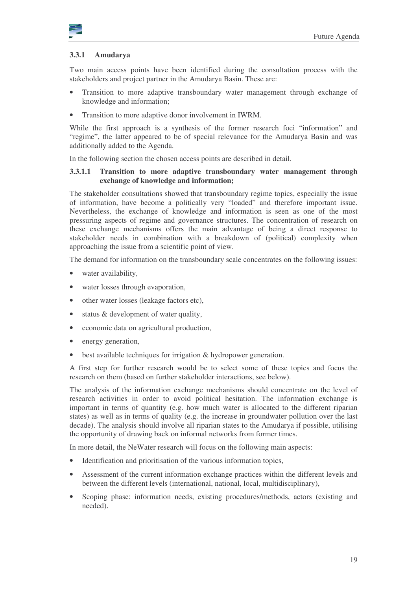

#### **3.3.1 Amudarya**

Two main access points have been identified during the consultation process with the stakeholders and project partner in the Amudarya Basin. These are:

- Transition to more adaptive transboundary water management through exchange of knowledge and information;
- Transition to more adaptive donor involvement in IWRM.

While the first approach is a synthesis of the former research foci "information" and "regime", the latter appeared to be of special relevance for the Amudarya Basin and was additionally added to the Agenda.

In the following section the chosen access points are described in detail.

#### **3.3.1.1 Transition to more adaptive transboundary water management through exchange of knowledge and information;**

The stakeholder consultations showed that transboundary regime topics, especially the issue of information, have become a politically very "loaded" and therefore important issue. Nevertheless, the exchange of knowledge and information is seen as one of the most pressuring aspects of regime and governance structures. The concentration of research on these exchange mechanisms offers the main advantage of being a direct response to stakeholder needs in combination with a breakdown of (political) complexity when approaching the issue from a scientific point of view.

The demand for information on the transboundary scale concentrates on the following issues:

- water availability.
- water losses through evaporation,
- other water losses (leakage factors etc),
- status & development of water quality,
- economic data on agricultural production,
- energy generation,
- best available techniques for irrigation & hydropower generation.

A first step for further research would be to select some of these topics and focus the research on them (based on further stakeholder interactions, see below).

The analysis of the information exchange mechanisms should concentrate on the level of research activities in order to avoid political hesitation. The information exchange is important in terms of quantity (e.g. how much water is allocated to the different riparian states) as well as in terms of quality (e.g. the increase in groundwater pollution over the last decade). The analysis should involve all riparian states to the Amudarya if possible, utilising the opportunity of drawing back on informal networks from former times.

In more detail, the NeWater research will focus on the following main aspects:

- Identification and prioritisation of the various information topics,
- Assessment of the current information exchange practices within the different levels and between the different levels (international, national, local, multidisciplinary),
- Scoping phase: information needs, existing procedures/methods, actors (existing and needed).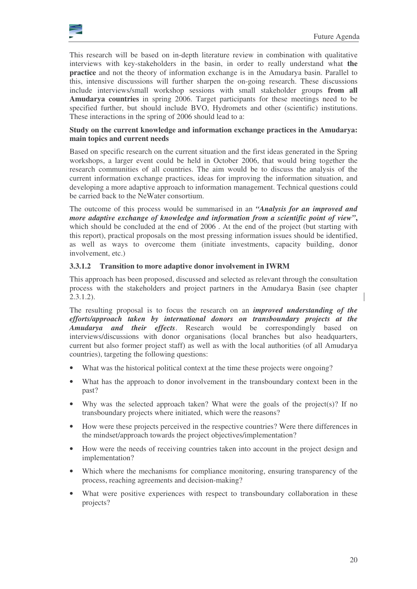

This research will be based on in-depth literature review in combination with qualitative interviews with key-stakeholders in the basin, in order to really understand what **the practice** and not the theory of information exchange is in the Amudarya basin. Parallel to this, intensive discussions will further sharpen the on-going research. These discussions include interviews/small workshop sessions with small stakeholder groups **from all Amudarya countries** in spring 2006. Target participants for these meetings need to be specified further, but should include BVO, Hydromets and other (scientific) institutions. These interactions in the spring of 2006 should lead to a:

#### **Study on the current knowledge and information exchange practices in the Amudarya: main topics and current needs**

Based on specific research on the current situation and the first ideas generated in the Spring workshops, a larger event could be held in October 2006, that would bring together the research communities of all countries. The aim would be to discuss the analysis of the current information exchange practices, ideas for improving the information situation, and developing a more adaptive approach to information management. Technical questions could be carried back to the NeWater consortium.

The outcome of this process would be summarised in an *"Analysis for an improved and more adaptive exchange of knowledge and information from a scientific point of view"***,** which should be concluded at the end of 2006. At the end of the project (but starting with this report), practical proposals on the most pressing information issues should be identified, as well as ways to overcome them (initiate investments, capacity building, donor involvement, etc.)

#### **3.3.1.2 Transition to more adaptive donor involvement in IWRM**

This approach has been proposed, discussed and selected as relevant through the consultation process with the stakeholders and project partners in the Amudarya Basin (see chapter 2.3.1.2).

The resulting proposal is to focus the research on an *improved understanding of the efforts/approach taken by international donors on transboundary projects at the Amudarya and their effects*. Research would be correspondingly based on interviews/discussions with donor organisations (local branches but also headquarters, current but also former project staff) as well as with the local authorities (of all Amudarya countries), targeting the following questions:

- What was the historical political context at the time these projects were ongoing?
- What has the approach to donor involvement in the transboundary context been in the past?
- Why was the selected approach taken? What were the goals of the project(s)? If no transboundary projects where initiated, which were the reasons?
- How were these projects perceived in the respective countries? Were there differences in the mindset/approach towards the project objectives/implementation?
- How were the needs of receiving countries taken into account in the project design and implementation?
- Which where the mechanisms for compliance monitoring, ensuring transparency of the process, reaching agreements and decision-making?
- What were positive experiences with respect to transboundary collaboration in these projects?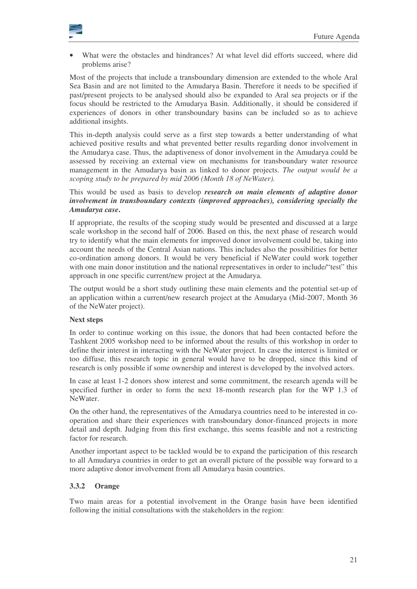

• What were the obstacles and hindrances? At what level did efforts succeed, where did problems arise?

Most of the projects that include a transboundary dimension are extended to the whole Aral Sea Basin and are not limited to the Amudarya Basin. Therefore it needs to be specified if past/present projects to be analysed should also be expanded to Aral sea projects or if the focus should be restricted to the Amudarya Basin. Additionally, it should be considered if experiences of donors in other transboundary basins can be included so as to achieve additional insights.

This in-depth analysis could serve as a first step towards a better understanding of what achieved positive results and what prevented better results regarding donor involvement in the Amudarya case. Thus, the adaptiveness of donor involvement in the Amudarya could be assessed by receiving an external view on mechanisms for transboundary water resource management in the Amudarya basin as linked to donor projects. *The output would be a scoping study to be prepared by mid 2006 (Month 18 of NeWater).*

#### This would be used as basis to develop *research on main elements of adaptive donor involvement in transboundary contexts (improved approaches), considering specially the Amudarya case***.**

If appropriate, the results of the scoping study would be presented and discussed at a large scale workshop in the second half of 2006. Based on this, the next phase of research would try to identify what the main elements for improved donor involvement could be, taking into account the needs of the Central Asian nations. This includes also the possibilities for better co-ordination among donors. It would be very beneficial if NeWater could work together with one main donor institution and the national representatives in order to include/"test" this approach in one specific current/new project at the Amudarya.

The output would be a short study outlining these main elements and the potential set-up of an application within a current/new research project at the Amudarya (Mid-2007, Month 36 of the NeWater project).

#### **Next steps**

In order to continue working on this issue, the donors that had been contacted before the Tashkent 2005 workshop need to be informed about the results of this workshop in order to define their interest in interacting with the NeWater project. In case the interest is limited or too diffuse, this research topic in general would have to be dropped, since this kind of research is only possible if some ownership and interest is developed by the involved actors.

In case at least 1-2 donors show interest and some commitment, the research agenda will be specified further in order to form the next 18-month research plan for the WP 1.3 of NeWater.

On the other hand, the representatives of the Amudarya countries need to be interested in cooperation and share their experiences with transboundary donor-financed projects in more detail and depth. Judging from this first exchange, this seems feasible and not a restricting factor for research.

Another important aspect to be tackled would be to expand the participation of this research to all Amudarya countries in order to get an overall picture of the possible way forward to a more adaptive donor involvement from all Amudarya basin countries.

#### **3.3.2 Orange**

Two main areas for a potential involvement in the Orange basin have been identified following the initial consultations with the stakeholders in the region: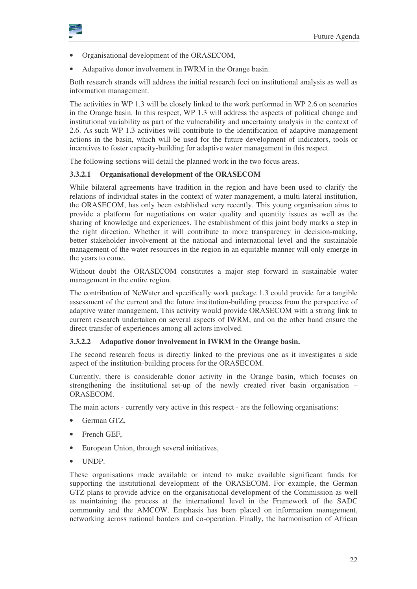

- Organisational development of the ORASECOM,
- Adapative donor involvement in IWRM in the Orange basin.

Both research strands will address the initial research foci on institutional analysis as well as information management.

The activities in WP 1.3 will be closely linked to the work performed in WP 2.6 on scenarios in the Orange basin. In this respect, WP 1.3 will address the aspects of political change and institutional variability as part of the vulnerability and uncertainty analysis in the context of 2.6. As such WP 1.3 activities will contribute to the identification of adaptive management actions in the basin, which will be used for the future development of indicators, tools or incentives to foster capacity-building for adaptive water management in this respect.

The following sections will detail the planned work in the two focus areas.

#### **3.3.2.1 Organisational development of the ORASECOM**

While bilateral agreements have tradition in the region and have been used to clarify the relations of individual states in the context of water management, a multi-lateral institution, the ORASECOM, has only been established very recently. This young organisation aims to provide a platform for negotiations on water quality and quantity issues as well as the sharing of knowledge and experiences. The establishment of this joint body marks a step in the right direction. Whether it will contribute to more transparency in decision-making, better stakeholder involvement at the national and international level and the sustainable management of the water resources in the region in an equitable manner will only emerge in the years to come.

Without doubt the ORASECOM constitutes a major step forward in sustainable water management in the entire region.

The contribution of NeWater and specifically work package 1.3 could provide for a tangible assessment of the current and the future institution-building process from the perspective of adaptive water management. This activity would provide ORASECOM with a strong link to current research undertaken on several aspects of IWRM, and on the other hand ensure the direct transfer of experiences among all actors involved.

#### **3.3.2.2 Adapative donor involvement in IWRM in the Orange basin.**

The second research focus is directly linked to the previous one as it investigates a side aspect of the institution-building process for the ORASECOM.

Currently, there is considerable donor activity in the Orange basin, which focuses on strengthening the institutional set-up of the newly created river basin organisation – ORASECOM.

The main actors - currently very active in this respect - are the following organisations:

- German GTZ.
- French GEF.
- European Union, through several initiatives,
- UNDP.

These organisations made available or intend to make available significant funds for supporting the institutional development of the ORASECOM. For example, the German GTZ plans to provide advice on the organisational development of the Commission as well as maintaining the process at the international level in the Framework of the SADC community and the AMCOW. Emphasis has been placed on information management, networking across national borders and co-operation. Finally, the harmonisation of African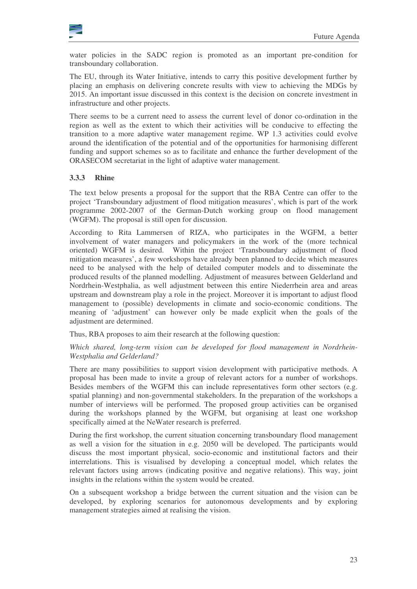

water policies in the SADC region is promoted as an important pre-condition for transboundary collaboration.

The EU, through its Water Initiative, intends to carry this positive development further by placing an emphasis on delivering concrete results with view to achieving the MDGs by 2015. An important issue discussed in this context is the decision on concrete investment in infrastructure and other projects.

There seems to be a current need to assess the current level of donor co-ordination in the region as well as the extent to which their activities will be conducive to effecting the transition to a more adaptive water management regime. WP 1.3 activities could evolve around the identification of the potential and of the opportunities for harmonising different funding and support schemes so as to facilitate and enhance the further development of the ORASECOM secretariat in the light of adaptive water management.

#### **3.3.3 Rhine**

The text below presents a proposal for the support that the RBA Centre can offer to the project 'Transboundary adjustment of flood mitigation measures', which is part of the work programme 2002-2007 of the German-Dutch working group on flood management (WGFM). The proposal is still open for discussion.

According to Rita Lammersen of RIZA, who participates in the WGFM, a better involvement of water managers and policymakers in the work of the (more technical oriented) WGFM is desired. Within the project 'Transboundary adjustment of flood mitigation measures', a few workshops have already been planned to decide which measures need to be analysed with the help of detailed computer models and to disseminate the produced results of the planned modelling. Adjustment of measures between Gelderland and Nordrhein-Westphalia, as well adjustment between this entire Niederrhein area and areas upstream and downstream play a role in the project. Moreover it is important to adjust flood management to (possible) developments in climate and socio-economic conditions. The meaning of 'adjustment' can however only be made explicit when the goals of the adjustment are determined.

Thus, RBA proposes to aim their research at the following question:

#### *Which shared, long-term vision can be developed for flood management in Nordrhein-Westphalia and Gelderland?*

There are many possibilities to support vision development with participative methods. A proposal has been made to invite a group of relevant actors for a number of workshops. Besides members of the WGFM this can include representatives form other sectors (e.g. spatial planning) and non-governmental stakeholders. In the preparation of the workshops a number of interviews will be performed. The proposed group activities can be organised during the workshops planned by the WGFM, but organising at least one workshop specifically aimed at the NeWater research is preferred.

During the first workshop, the current situation concerning transboundary flood management as well a vision for the situation in e.g. 2050 will be developed. The participants would discuss the most important physical, socio-economic and institutional factors and their interrelations. This is visualised by developing a conceptual model, which relates the relevant factors using arrows (indicating positive and negative relations). This way, joint insights in the relations within the system would be created.

On a subsequent workshop a bridge between the current situation and the vision can be developed, by exploring scenarios for autonomous developments and by exploring management strategies aimed at realising the vision.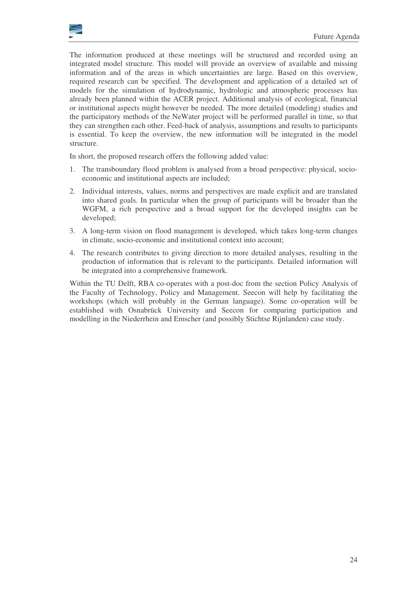

The information produced at these meetings will be structured and recorded using an integrated model structure. This model will provide an overview of available and missing information and of the areas in which uncertainties are large. Based on this overview, required research can be specified. The development and application of a detailed set of models for the simulation of hydrodynamic, hydrologic and atmospheric processes has already been planned within the ACER project. Additional analysis of ecological, financial or institutional aspects might however be needed. The more detailed (modeling) studies and the participatory methods of the NeWater project will be performed parallel in time, so that they can strengthen each other. Feed-back of analysis, assumptions and results to participants is essential. To keep the overview, the new information will be integrated in the model structure.

In short, the proposed research offers the following added value:

- 1. The transboundary flood problem is analysed from a broad perspective: physical, socioeconomic and institutional aspects are included;
- 2. Individual interests, values, norms and perspectives are made explicit and are translated into shared goals. In particular when the group of participants will be broader than the WGFM, a rich perspective and a broad support for the developed insights can be developed;
- 3. A long-term vision on flood management is developed, which takes long-term changes in climate, socio-economic and institutional context into account;
- 4. The research contributes to giving direction to more detailed analyses, resulting in the production of information that is relevant to the participants. Detailed information will be integrated into a comprehensive framework.

Within the TU Delft, RBA co-operates with a post-doc from the section Policy Analysis of the Faculty of Technology, Policy and Management. Seecon will help by facilitating the workshops (which will probably in the German language). Some co-operation will be established with Osnabrück University and Seecon for comparing participation and modelling in the Niederrhein and Emscher (and possibly Stichtse Rijnlanden) case study.